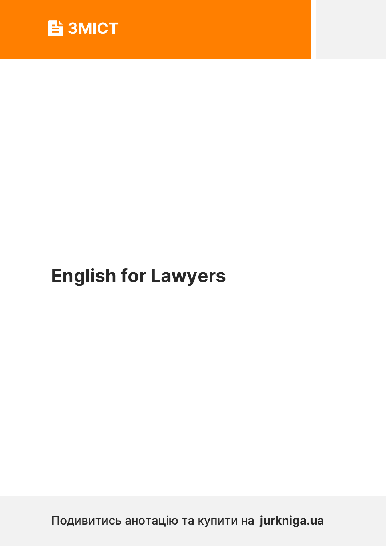

# **English for Lawyers**

Подивитись анотацію та купити на **jurkniga.ua**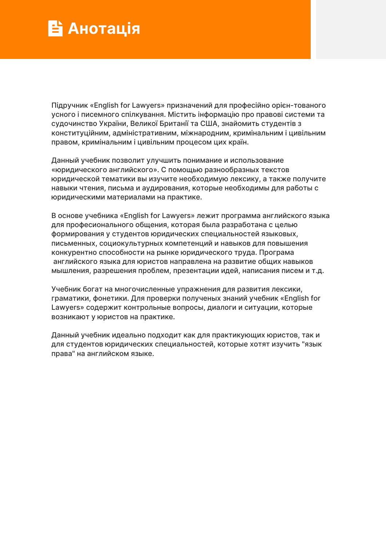## **Анотація**

Підручник «English for Lawyers» призначений для професійно орієнтованого усного і писемного спілкування. Містить інформацію про правові системи та судочинство України, Великої Британії та США, знайомить студентів з конституційним, адміністративним, міжнародним, кримінальним і цивільним правом, кримінальним і цивільним процесом цих країн.

Данный учебник позволит улучшить понимание и использование «юридического английского». С помощью разнообразных текстов юридической тематики вы изучите необходимую лексику, а также получите навыки чтения, письма и аудирования, которые необходимы для работы с юридическими материалами на практике.

В основе учебника «English for Lawyers» лежит программа английского языка для професионального общения, которая была разработана с целью формирования у студентов юридических специальностей языковых, письменных, социокультурных компетенций и навыков для повышения конкурентно способности на рынке юридического труда. Програма английского языка для юристов направлена на развитие общих навыков мышления, разрешения проблем, презентации идей, написания писем и т.д.

Учебник богат на многочисленные упражнения для развития лексики, граматики, фонетики. Для проверки полученых знаний учебник «English for Lawyers» содержит контрольные вопросы, диалоги и ситуации, которые возникают у юристов на практике.

Данный учебник идеально подходит как для практикующих юристов, так и для студентов юридических специальностей, которые хотят изучить "язык права" на английском языке.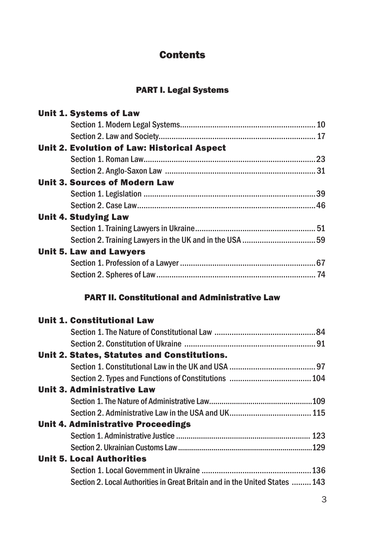#### Contents

#### PART I. Legal Systems

| Unit 1. Systems of Law                                  |  |
|---------------------------------------------------------|--|
|                                                         |  |
|                                                         |  |
| Unit 2. Evolution of Law: Historical Aspect             |  |
|                                                         |  |
|                                                         |  |
| <b>Unit 3. Sources of Modern Law</b>                    |  |
|                                                         |  |
|                                                         |  |
| Unit 4. Studying Law                                    |  |
|                                                         |  |
| Section 2. Training Lawyers in the UK and in the USA 59 |  |
| <b>Unit 5. Law and Lawyers</b>                          |  |
|                                                         |  |
|                                                         |  |
|                                                         |  |
|                                                         |  |

#### PART II. Constitutional and Administrative Law

| <b>Unit 1. Constitutional Law</b>                                           |  |
|-----------------------------------------------------------------------------|--|
|                                                                             |  |
|                                                                             |  |
| Unit 2. States, Statutes and Constitutions.                                 |  |
|                                                                             |  |
|                                                                             |  |
| Unit 3. Administrative Law                                                  |  |
|                                                                             |  |
|                                                                             |  |
| Unit 4. Administrative Proceedings                                          |  |
|                                                                             |  |
|                                                                             |  |
| <b>Unit 5. Local Authorities</b>                                            |  |
|                                                                             |  |
| Section 2. Local Authorities in Great Britain and in the United States  143 |  |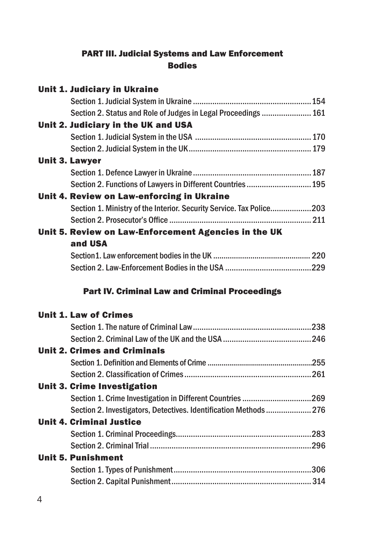#### PART III. Judicial Systems and Law Enforcement Bodies

| <b>Unit 1. Judiciary in Ukraine</b>                                  |  |
|----------------------------------------------------------------------|--|
|                                                                      |  |
| Section 2. Status and Role of Judges in Legal Proceedings  161       |  |
| Unit 2. Judiciary in the UK and USA                                  |  |
|                                                                      |  |
|                                                                      |  |
| <b>Unit 3. Lawyer</b>                                                |  |
|                                                                      |  |
| Section 2. Functions of Lawyers in Different Countries  195          |  |
| Unit 4. Review on Law-enforcing in Ukraine                           |  |
| Section 1. Ministry of the Interior. Security Service. Tax Police203 |  |
|                                                                      |  |
| Unit 5. Review on Law-Enforcement Agencies in the UK                 |  |
| and USA                                                              |  |
|                                                                      |  |
|                                                                      |  |
| <b>Part IV. Criminal Law and Criminal Proceedings</b>                |  |
| <b>Unit 1. Law of Crimes</b>                                         |  |
|                                                                      |  |
|                                                                      |  |
| <b>Unit 2. Crimes and Criminals</b>                                  |  |
|                                                                      |  |
|                                                                      |  |
| <b>Unit 3. Crime Investigation</b>                                   |  |

#### Section 1. Crime Investigation in Different Countries ................................269 Section 2. Investigators, Detectives. Identification Methods ..................... 276 Unit 4. Criminal Justice Section 1. Criminal Proceedings ...............................................................283 Section 2. Criminal Trial ...........................................................................296 Unit 5. Punishment Section 1. Types of Punishment ................................................................306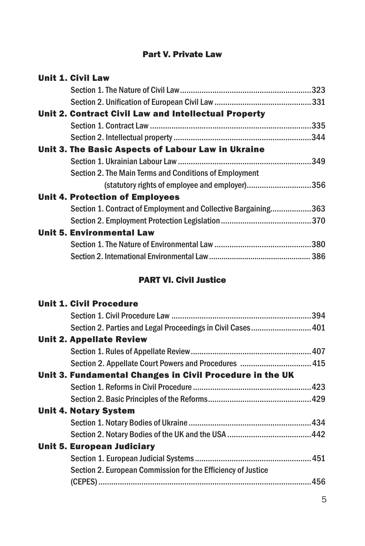#### Part V. Private Law

| <b>Unit 1. Civil Law</b>                                       |  |
|----------------------------------------------------------------|--|
|                                                                |  |
|                                                                |  |
| <b>Unit 2. Contract Civil Law and Intellectual Property</b>    |  |
|                                                                |  |
|                                                                |  |
| Unit 3. The Basic Aspects of Labour Law in Ukraine             |  |
|                                                                |  |
| Section 2. The Main Terms and Conditions of Employment         |  |
| (statutory rights of employee and employer)356                 |  |
| Unit 4. Protection of Employees                                |  |
| Section 1. Contract of Employment and Collective Bargaining363 |  |
|                                                                |  |
| <b>Unit 5. Environmental Law</b>                               |  |
|                                                                |  |
|                                                                |  |

#### PART VI. Civil Justice

| <b>Unit 1. Civil Procedure</b>    |                                                              |  |
|-----------------------------------|--------------------------------------------------------------|--|
|                                   |                                                              |  |
|                                   | Section 2. Parties and Legal Proceedings in Civil Cases 401  |  |
| <b>Unit 2. Appellate Review</b>   |                                                              |  |
|                                   |                                                              |  |
|                                   | Section 2. Appellate Court Powers and Procedures  415        |  |
|                                   | Unit 3. Fundamental Changes in Civil Procedure in the UK     |  |
|                                   |                                                              |  |
|                                   |                                                              |  |
| <b>Unit 4. Notary System</b>      |                                                              |  |
|                                   |                                                              |  |
|                                   |                                                              |  |
| <b>Unit 5. European Judiciary</b> |                                                              |  |
|                                   |                                                              |  |
|                                   | Section 2. European Commission for the Efficiency of Justice |  |
|                                   |                                                              |  |
|                                   |                                                              |  |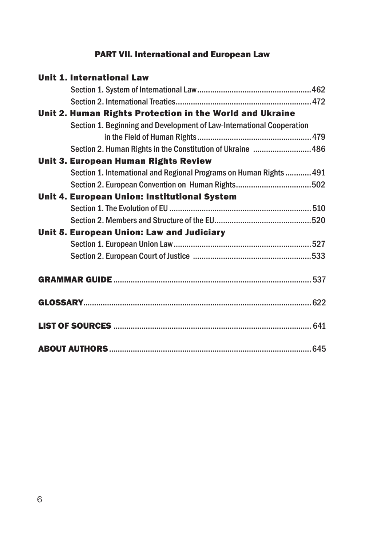#### PART VII. International and European Law

| <b>Unit 1. International Law</b>                                      |  |
|-----------------------------------------------------------------------|--|
|                                                                       |  |
|                                                                       |  |
| Unit 2. Human Rights Protection in the World and Ukraine              |  |
| Section 1. Beginning and Development of Law-International Cooperation |  |
|                                                                       |  |
| Section 2. Human Rights in the Constitution of Ukraine 486            |  |
| <b>Unit 3. European Human Rights Review</b>                           |  |
| Section 1. International and Regional Programs on Human Rights  491   |  |
|                                                                       |  |
| Unit 4. European Union: Institutional System                          |  |
|                                                                       |  |
|                                                                       |  |
| Unit 5. European Union: Law and Judiciary                             |  |
|                                                                       |  |
|                                                                       |  |
|                                                                       |  |
|                                                                       |  |
|                                                                       |  |
|                                                                       |  |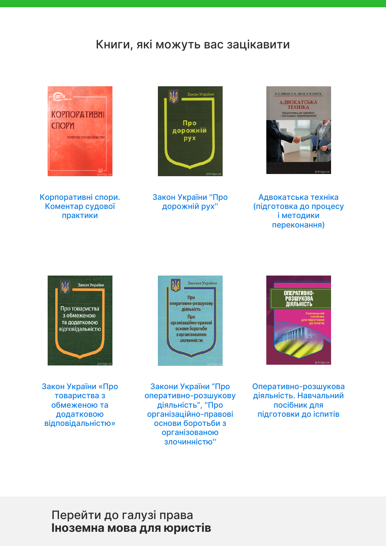## Книги, які можуть вас зацікавити



К[орпоративні спор](https://jurkniga.ua/korporativn-spori-komentar-sudovo-praktiki/?utm_source=pdf&utm_medium=referral&utm_campaign=pdf&utm_content=English+for+Lawyers)и. Коментар судової практики



З[акон України ''Пр](https://jurkniga.ua/zakon-ukrayini-pro-dorozhniy-rukh/?utm_source=pdf&utm_medium=referral&utm_campaign=pdf&utm_content=English+for+Lawyers)о дорожній рух''



А[двокатська технік](https://jurkniga.ua/advokatska-tekhnika-%28pidgotovka-do-procesu-i-metodiki-perekonannya%29/?utm_source=pdf&utm_medium=referral&utm_campaign=pdf&utm_content=English+for+Lawyers)а (підготовка до процесу і методики [переконання\)](https://jurkniga.ua/advokatska-tekhnika-%28pidgotovka-do-procesu-i-metodiki-perekonannya%29/?utm_source=pdf&utm_medium=referral&utm_campaign=pdf&utm_content=English+for+Lawyers)



З[акон України «Пр](https://jurkniga.ua/zakon-ukrayini-pro-tovaristva-z-obmezhenoyu-ta-dodatkovoyu-vidpovidalnistyu/?utm_source=pdf&utm_medium=referral&utm_campaign=pdf&utm_content=English+for+Lawyers)о товариства з обмеженою та додатковою [відповідальністю»](https://jurkniga.ua/zakon-ukrayini-pro-tovaristva-z-obmezhenoyu-ta-dodatkovoyu-vidpovidalnistyu/?utm_source=pdf&utm_medium=referral&utm_campaign=pdf&utm_content=English+for+Lawyers)



З[акони України "Пр](https://jurkniga.ua/zakoni-ukrayini-pro-operativno-rozshukovu-diyalnist-pro-organizaciyno-pravovi-osnovi-borotbi-z-organizovanoyu-zlochinnistyu/?utm_source=pdf&utm_medium=referral&utm_campaign=pdf&utm_content=English+for+Lawyers)о оперативно-розшукову діяльність", ''Про організаційно-правові [основи боротьби з](https://jurkniga.ua/zakoni-ukrayini-pro-operativno-rozshukovu-diyalnist-pro-organizaciyno-pravovi-osnovi-borotbi-z-organizovanoyu-zlochinnistyu/?utm_source=pdf&utm_medium=referral&utm_campaign=pdf&utm_content=English+for+Lawyers) [організованою](https://jurkniga.ua/zakoni-ukrayini-pro-operativno-rozshukovu-diyalnist-pro-organizaciyno-pravovi-osnovi-borotbi-z-organizovanoyu-zlochinnistyu/?utm_source=pdf&utm_medium=referral&utm_campaign=pdf&utm_content=English+for+Lawyers) [злочинністю](https://jurkniga.ua/zakoni-ukrayini-pro-operativno-rozshukovu-diyalnist-pro-organizaciyno-pravovi-osnovi-borotbi-z-organizovanoyu-zlochinnistyu/?utm_source=pdf&utm_medium=referral&utm_campaign=pdf&utm_content=English+for+Lawyers)''



Оп[еративно-розшук](https://jurkniga.ua/operativno-rozshukova-diyalnist-dlya-pidgotovki-do-ispitiv-/?utm_source=pdf&utm_medium=referral&utm_campaign=pdf&utm_content=English+for+Lawyers)ова діяльність. Навчальний посібник для [підготовки до іспитів](https://jurkniga.ua/operativno-rozshukova-diyalnist-dlya-pidgotovki-do-ispitiv-/?utm_source=pdf&utm_medium=referral&utm_campaign=pdf&utm_content=English+for+Lawyers)

### Перейти до галузі права **Іноземна мова для юристів**